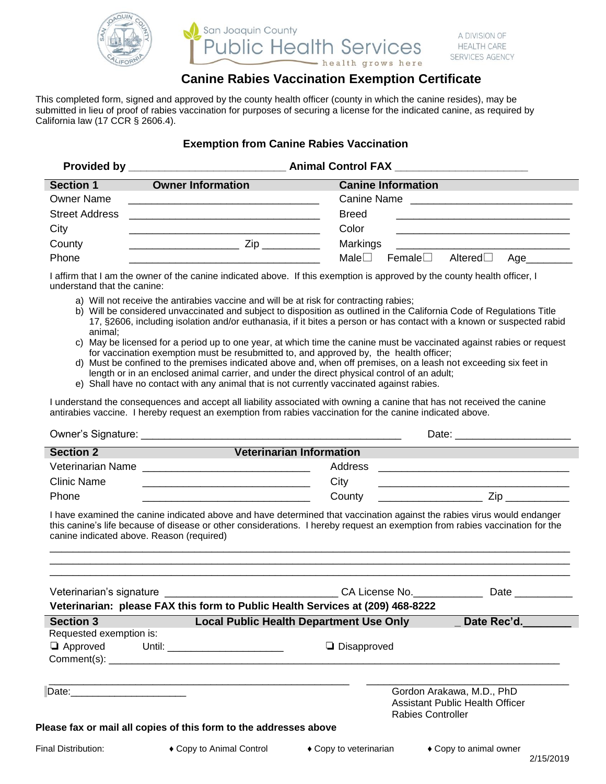

## San Joaquin County **plic Health Services** health grows here

# **Canine Rabies Vaccination Exemption Certificate**

A DIVISION OF

**HEALTH CARE SERVICES AGENCY** 

This completed form, signed and approved by the county health officer (county in which the canine resides), may be submitted in lieu of proof of rabies vaccination for purposes of securing a license for the indicated canine, as required by California law (17 CCR § 2606.4).

#### **Exemption from Canine Rabies Vaccination**

|                       |                          | Animal Control FAX __________________________                         |
|-----------------------|--------------------------|-----------------------------------------------------------------------|
| Section 1             | <b>Owner Information</b> | <b>Canine Information</b>                                             |
| <b>Owner Name</b>     |                          | Canine Name                                                           |
| <b>Street Address</b> |                          | <b>Breed</b>                                                          |
| City                  |                          | Color                                                                 |
| County                | Zip                      | Markings<br><u> 1980 - John Stein, Amerikaansk politiker (* 1900)</u> |
| Phone                 |                          | Male $\Box$<br>Female $\Box$<br>Altered $\Box$<br>Age_________        |

I affirm that I am the owner of the canine indicated above. If this exemption is approved by the county health officer, I understand that the canine:

- a) Will not receive the antirabies vaccine and will be at risk for contracting rabies;
- b) Will be considered unvaccinated and subject to disposition as outlined in the California Code of Regulations Title 17, §2606, including isolation and/or euthanasia, if it bites a person or has contact with a known or suspected rabid animal;
- c) May be licensed for a period up to one year, at which time the canine must be vaccinated against rabies or request for vaccination exemption must be resubmitted to, and approved by, the health officer;
- d) Must be confined to the premises indicated above and, when off premises, on a leash not exceeding six feet in length or in an enclosed animal carrier, and under the direct physical control of an adult;
- e) Shall have no contact with any animal that is not currently vaccinated against rabies.

I understand the consequences and accept all liability associated with owning a canine that has not received the canine antirabies vaccine. I hereby request an exemption from rabies vaccination for the canine indicated above.

| <b>Section 2</b>                                                               | <u> 1989 - Johann Barbara, martxa a</u>                                                                              | <b>Veterinarian Information</b>                                                                                                                                                                                                                                                                                                                   |                        |
|--------------------------------------------------------------------------------|----------------------------------------------------------------------------------------------------------------------|---------------------------------------------------------------------------------------------------------------------------------------------------------------------------------------------------------------------------------------------------------------------------------------------------------------------------------------------------|------------------------|
|                                                                                |                                                                                                                      |                                                                                                                                                                                                                                                                                                                                                   |                        |
| <b>Clinic Name</b>                                                             | <u> Alexandro de la contrada de la contrada de la contrada de la contrada de la contrada de la contrada de la co</u> | City                                                                                                                                                                                                                                                                                                                                              |                        |
| Phone                                                                          |                                                                                                                      |                                                                                                                                                                                                                                                                                                                                                   |                        |
| canine indicated above. Reason (required)                                      |                                                                                                                      | I have examined the canine indicated above and have determined that vaccination against the rabies virus would endanger<br>this canine's life because of disease or other considerations. I hereby request an exemption from rabies vaccination for the<br><u>,我们就会在这里的时候,我们就会在这里的时候,我们就会在这里的时候,我们就会在这里的时候,我们就会在这里的时候,我们就会在这里的时候,我们就会在这里的时候,我</u> |                        |
| Veterinarian: please FAX this form to Public Health Services at (209) 468-8222 |                                                                                                                      |                                                                                                                                                                                                                                                                                                                                                   |                        |
| <b>Section 3</b>                                                               |                                                                                                                      | Local Public Health Department Use Only ______ Date Rec'd.                                                                                                                                                                                                                                                                                        |                        |
| Requested exemption is:                                                        |                                                                                                                      |                                                                                                                                                                                                                                                                                                                                                   |                        |
|                                                                                | □ Approved Until: _______________________                                                                            | $\Box$ Disapproved                                                                                                                                                                                                                                                                                                                                |                        |
|                                                                                |                                                                                                                      | Gordon Arakawa, M.D., PhD<br>Assistant Public Health Officer<br><b>Rabies Controller</b>                                                                                                                                                                                                                                                          |                        |
|                                                                                | Please fax or mail all copies of this form to the addresses above                                                    |                                                                                                                                                                                                                                                                                                                                                   |                        |
| Final Distribution:                                                            |                                                                                                                      | $\bullet$ Copy to Animal Control $\bullet$ Copy to veterinarian                                                                                                                                                                                                                                                                                   | ♦ Copy to animal owner |